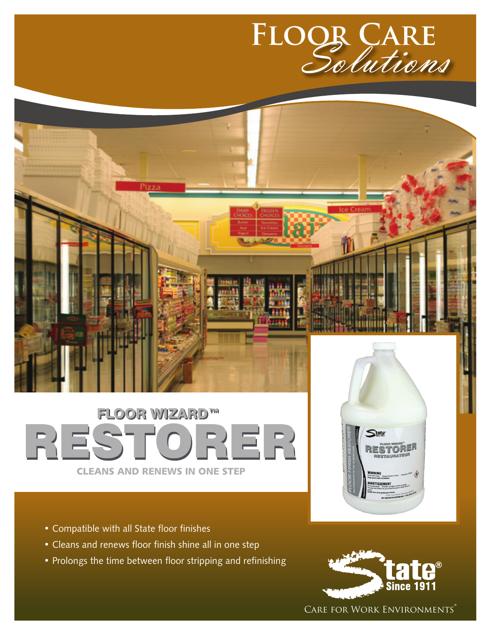

# **FLOOR WIZARD™** RESTORER CLEANS AND RENEWS IN ONE STEP

- Compatible with all State floor finishes
- Cleans and renews floor finish shine all in one step
- Prolongs the time between floor stripping and refinishing



CARE FOR WORK ENVIRONMENTS®